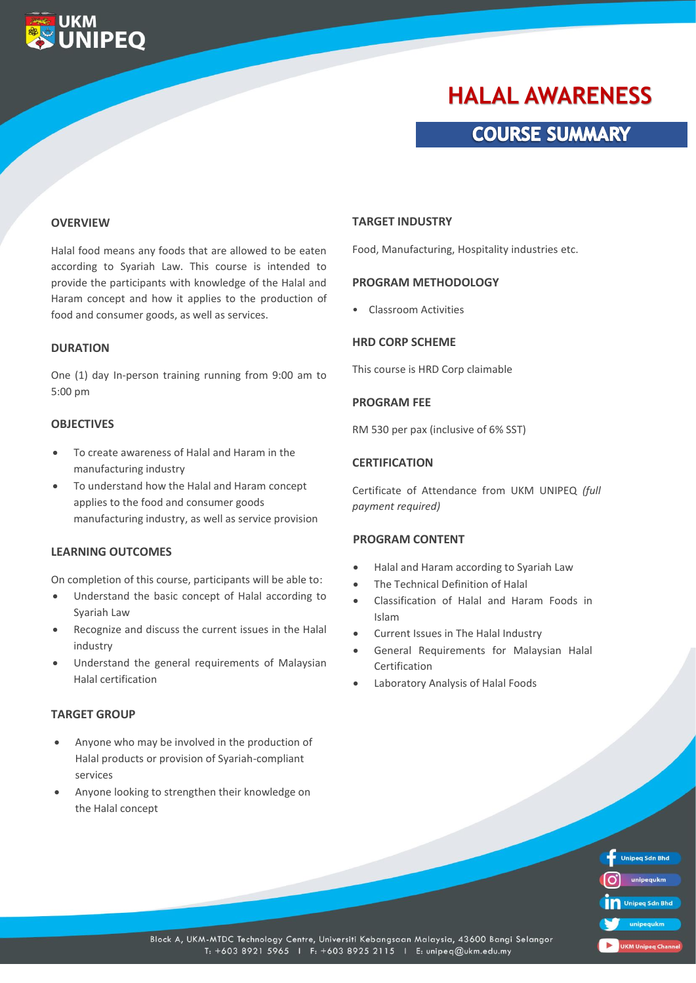# **HALAL AWARENESS**

## **COURSE SUMMARY**

#### **OVERVIEW**

**UKM** 

**WIPEO** 

Halal food means any foods that are allowed to be eaten according to Syariah Law. This course is intended to provide the participants with knowledge of the Halal and Haram concept and how it applies to the production of food and consumer goods, as well as services.

#### **DURATION**

One (1) day In-person training running from 9:00 am to 5:00 pm

#### **OBJECTIVES**

- To create awareness of Halal and Haram in the manufacturing industry
- To understand how the Halal and Haram concept applies to the food and consumer goods manufacturing industry, as well as service provision

#### **LEARNING OUTCOMES**

On completion of this course, participants will be able to:

- Understand the basic concept of Halal according to Syariah Law
- Recognize and discuss the current issues in the Halal industry
- Understand the general requirements of Malaysian Halal certification

#### **TARGET GROUP**

- Anyone who may be involved in the production of Halal products or provision of Syariah-compliant services
- Anyone looking to strengthen their knowledge on the Halal concept

#### **TARGET INDUSTRY**

Food, Manufacturing, Hospitality industries etc.

#### **PROGRAM METHODOLOGY**

• Classroom Activities

#### **HRD CORP SCHEME**

This course is HRD Corp claimable

### **PROGRAM FEE**

RM 530 per pax (inclusive of 6% SST)

#### **CERTIFICATION**

Certificate of Attendance from UKM UNIPEQ *(full payment required)*

#### **PROGRAM CONTENT**

- Halal and Haram according to Syariah Law
- The Technical Definition of Halal
- Classification of Halal and Haram Foods in Islam
- Current Issues in The Halal Industry
- General Requirements for Malaysian Halal Certification
- Laboratory Analysis of Halal Foods



Block A, UKM-MTDC Technology Centre, Universiti Kebangsaan Malaysia, 43600 Bangi Selangor T: +603 8921 5965 | F: +603 8925 2115 | E: unipeq@ukm.edu.my